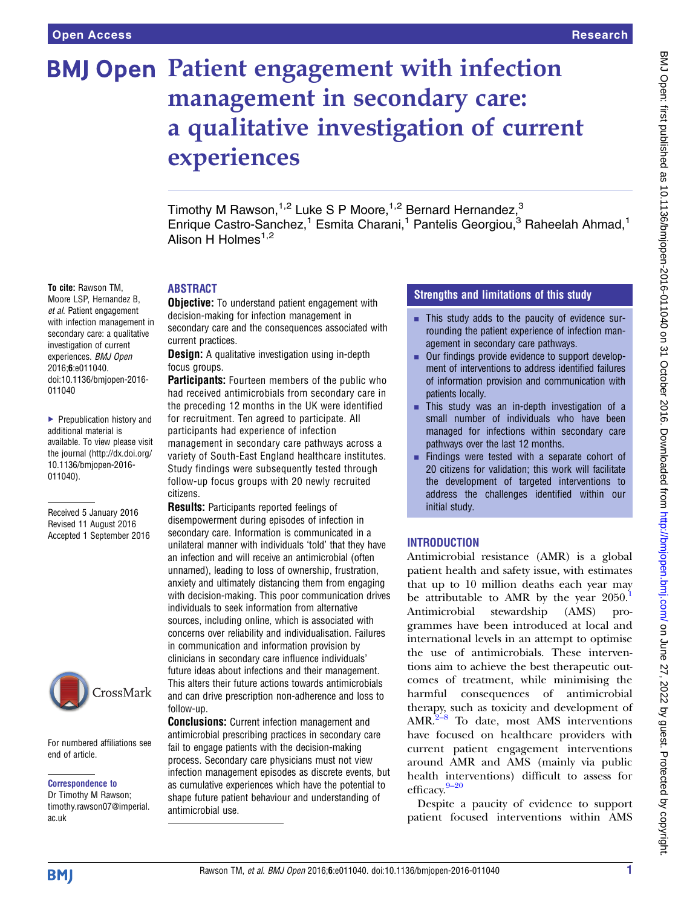To cite: Rawson TM, Moore LSP, Hernandez B, et al. Patient engagement with infection management in secondary care: a qualitative investigation of current experiences. BMJ Open 2016;6:e011040.

doi:10.1136/bmjopen-2016-

▶ Prepublication history and additional material is available. To view please visit the journal [\(http://dx.doi.org/](http://dx.doi.org/10.1136/bmjopen-2016-011040) [10.1136/bmjopen-2016-](http://dx.doi.org/10.1136/bmjopen-2016-011040)

Received 5 January 2016 Revised 11 August 2016 Accepted 1 September 2016

For numbered affiliations see

CrossMark

end of article.

Correspondence to Dr Timothy M Rawson; timothy.rawson07@imperial.

011040

[011040\)](http://dx.doi.org/10.1136/bmjopen-2016-011040).

# **BMJ Open Patient engagement with infection** management in secondary care: a qualitative investigation of current experiences

Timothy M Rawson,<sup>1,2</sup> Luke S P Moore,<sup>1,2</sup> Bernard Hernandez,<sup>3</sup> Enrique Castro-Sanchez,<sup>1</sup> Esmita Charani,<sup>1</sup> Pantelis Georgiou,<sup>3</sup> Raheelah Ahmad,<sup>1</sup> Alison H Holmes $1,2$ 

# ABSTRACT

**Objective:** To understand patient engagement with decision-making for infection management in secondary care and the consequences associated with current practices.

**Design:** A qualitative investigation using in-depth focus groups.

**Participants:** Fourteen members of the public who had received antimicrobials from secondary care in the preceding 12 months in the UK were identified for recruitment. Ten agreed to participate. All participants had experience of infection management in secondary care pathways across a variety of South-East England healthcare institutes. Study findings were subsequently tested through follow-up focus groups with 20 newly recruited citizens.

Results: Participants reported feelings of disempowerment during episodes of infection in secondary care. Information is communicated in a unilateral manner with individuals 'told' that they have an infection and will receive an antimicrobial (often unnamed), leading to loss of ownership, frustration, anxiety and ultimately distancing them from engaging with decision-making. This poor communication drives individuals to seek information from alternative sources, including online, which is associated with concerns over reliability and individualisation. Failures in communication and information provision by clinicians in secondary care influence individuals' future ideas about infections and their management. This alters their future actions towards antimicrobials and can drive prescription non-adherence and loss to follow-up.

Conclusions: Current infection management and antimicrobial prescribing practices in secondary care fail to engage patients with the decision-making process. Secondary care physicians must not view infection management episodes as discrete events, but as cumulative experiences which have the potential to shape future patient behaviour and understanding of antimicrobial use.

# Strengths and limitations of this study

- $\blacksquare$  This study adds to the paucity of evidence surrounding the patient experience of infection management in secondary care pathways.
- Our findings provide evidence to support development of interventions to address identified failures of information provision and communication with patients locally.
- $\blacksquare$  This study was an in-depth investigation of a small number of individuals who have been managed for infections within secondary care pathways over the last 12 months.
- $\blacksquare$  Findings were tested with a separate cohort of 20 citizens for validation; this work will facilitate the development of targeted interventions to address the challenges identified within our initial study.

# **INTRODUCTION**

Antimicrobial resistance (AMR) is a global patient health and safety issue, with estimates that up to 10 million deaths each year may be attributable to AMR by the year  $2050$ .<sup>1</sup> Antimicrobial stewardship (AMS) programmes have been introduced at local and international levels in an attempt to optimise the use of antimicrobials. These interventions aim to achieve the best therapeutic outcomes of treatment, while minimising the harmful consequences of antimicrobial therapy, such as toxicity and development of  $AMR<sup>2–8</sup>$  $AMR<sup>2–8</sup>$  $AMR<sup>2–8</sup>$  To date, most AMS interventions have focused on healthcare providers with current patient engagement interventions around AMR and AMS (mainly via public health interventions) difficult to assess for efficacy. $9-20$  $9-20$ 

Despite a paucity of evidence to support patient focused interventions within AMS

ac.uk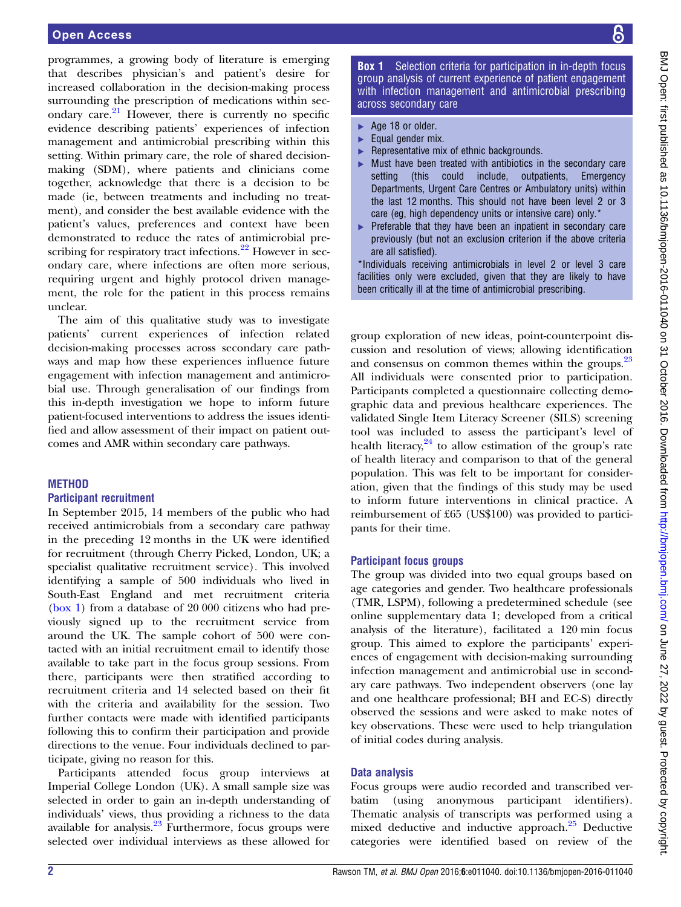programmes, a growing body of literature is emerging that describes physician's and patient's desire for increased collaboration in the decision-making process surrounding the prescription of medications within sec-ondary care.<sup>[21](#page-8-0)</sup> However, there is currently no specific evidence describing patients' experiences of infection management and antimicrobial prescribing within this setting. Within primary care, the role of shared decisionmaking (SDM), where patients and clinicians come together, acknowledge that there is a decision to be made (ie, between treatments and including no treatment), and consider the best available evidence with the patient's values, preferences and context have been demonstrated to reduce the rates of antimicrobial prescribing for respiratory tract infections. $^{22}$  $^{22}$  $^{22}$  However in secondary care, where infections are often more serious, requiring urgent and highly protocol driven management, the role for the patient in this process remains unclear.

The aim of this qualitative study was to investigate patients' current experiences of infection related decision-making processes across secondary care pathways and map how these experiences influence future engagement with infection management and antimicrobial use. Through generalisation of our findings from this in-depth investigation we hope to inform future patient-focused interventions to address the issues identified and allow assessment of their impact on patient outcomes and AMR within secondary care pathways.

# **METHOD**

# Participant recruitment

In September 2015, 14 members of the public who had received antimicrobials from a secondary care pathway in the preceding 12 months in the UK were identified for recruitment (through Cherry Picked, London, UK; a specialist qualitative recruitment service). This involved identifying a sample of 500 individuals who lived in South-East England and met recruitment criteria (box 1) from a database of 20 000 citizens who had previously signed up to the recruitment service from around the UK. The sample cohort of 500 were contacted with an initial recruitment email to identify those available to take part in the focus group sessions. From there, participants were then stratified according to recruitment criteria and 14 selected based on their fit with the criteria and availability for the session. Two further contacts were made with identified participants following this to confirm their participation and provide directions to the venue. Four individuals declined to participate, giving no reason for this.

Participants attended focus group interviews at Imperial College London (UK). A small sample size was selected in order to gain an in-depth understanding of individuals' views, thus providing a richness to the data available for analysis.<sup>[23](#page-8-0)</sup> Furthermore, focus groups were selected over individual interviews as these allowed for

**Box 1** Selection criteria for participation in in-depth focus group analysis of current experience of patient engagement with infection management and antimicrobial prescribing across secondary care

- ▸ Age 18 or older.
- $\blacktriangleright$  Equal gender mix.
- Representative mix of ethnic backgrounds.
- Must have been treated with antibiotics in the secondary care setting (this could include, outpatients, Emergency Departments, Urgent Care Centres or Ambulatory units) within the last 12 months. This should not have been level 2 or 3 care (eg, high dependency units or intensive care) only.\*
- Preferable that they have been an inpatient in secondary care previously (but not an exclusion criterion if the above criteria are all satisfied).

\*Individuals receiving antimicrobials in level 2 or level 3 care facilities only were excluded, given that they are likely to have been critically ill at the time of antimicrobial prescribing.

group exploration of new ideas, point-counterpoint discussion and resolution of views; allowing identification and consensus on common themes within the groups.<sup>[23](#page-8-0)</sup> All individuals were consented prior to participation. Participants completed a questionnaire collecting demographic data and previous healthcare experiences. The validated Single Item Literacy Screener (SILS) screening tool was included to assess the participant's level of health literacy, $24$  to allow estimation of the group's rate of health literacy and comparison to that of the general population. This was felt to be important for consideration, given that the findings of this study may be used to inform future interventions in clinical practice. A reimbursement of £65 (US\$100) was provided to participants for their time.

### Participant focus groups

The group was divided into two equal groups based on age categories and gender. Two healthcare professionals (TMR, LSPM), following a predetermined schedule (see online [supplementary data 1;](http://dx.doi.org/10.1136/bmjopen-2016-011040) developed from a critical analysis of the literature), facilitated a 120 min focus group. This aimed to explore the participants' experiences of engagement with decision-making surrounding infection management and antimicrobial use in secondary care pathways. Two independent observers (one lay and one healthcare professional; BH and EC-S) directly observed the sessions and were asked to make notes of key observations. These were used to help triangulation of initial codes during analysis.

### Data analysis

Focus groups were audio recorded and transcribed verbatim (using anonymous participant identifiers). Thematic analysis of transcripts was performed using a mixed deductive and inductive approach.<sup>[25](#page-8-0)</sup> Deductive categories were identified based on review of the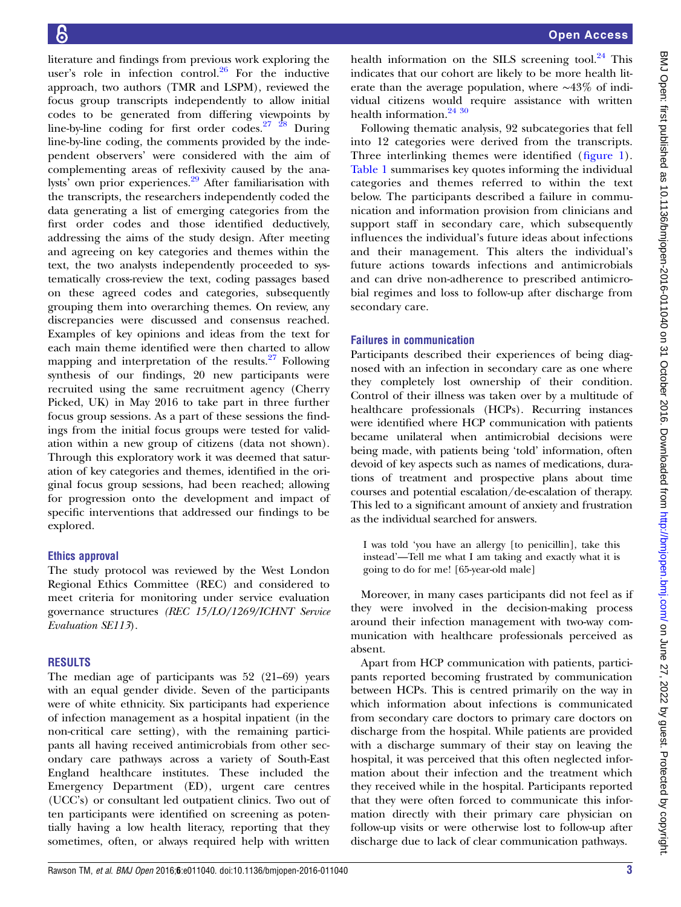literature and findings from previous work exploring the user's role in infection control. $26$  For the inductive approach, two authors (TMR and LSPM), reviewed the focus group transcripts independently to allow initial codes to be generated from differing viewpoints by line-by-line coding for first order codes.<sup>27</sup>  $^{28}$  During line-by-line coding, the comments provided by the independent observers' were considered with the aim of complementing areas of reflexivity caused by the ana-lysts' own prior experiences.<sup>[29](#page-8-0)</sup> After familiarisation with the transcripts, the researchers independently coded the data generating a list of emerging categories from the first order codes and those identified deductively, addressing the aims of the study design. After meeting and agreeing on key categories and themes within the text, the two analysts independently proceeded to systematically cross-review the text, coding passages based on these agreed codes and categories, subsequently grouping them into overarching themes. On review, any discrepancies were discussed and consensus reached. Examples of key opinions and ideas from the text for each main theme identified were then charted to allow mapping and interpretation of the results.<sup>[27](#page-8-0)</sup> Following synthesis of our findings, 20 new participants were recruited using the same recruitment agency (Cherry Picked, UK) in May 2016 to take part in three further focus group sessions. As a part of these sessions the findings from the initial focus groups were tested for validation within a new group of citizens (data not shown). Through this exploratory work it was deemed that saturation of key categories and themes, identified in the original focus group sessions, had been reached; allowing for progression onto the development and impact of specific interventions that addressed our findings to be explored.

# Ethics approval

The study protocol was reviewed by the West London Regional Ethics Committee (REC) and considered to meet criteria for monitoring under service evaluation governance structures (REC 15/LO/1269/ICHNT Service Evaluation SE113).

# RESULTS

The median age of participants was 52 (21–69) years with an equal gender divide. Seven of the participants were of white ethnicity. Six participants had experience of infection management as a hospital inpatient (in the non-critical care setting), with the remaining participants all having received antimicrobials from other secondary care pathways across a variety of South-East England healthcare institutes. These included the Emergency Department (ED), urgent care centres (UCC's) or consultant led outpatient clinics. Two out of ten participants were identified on screening as potentially having a low health literacy, reporting that they sometimes, often, or always required help with written

health information on the SILS screening tool. $^{24}$  $^{24}$  $^{24}$  This indicates that our cohort are likely to be more health literate than the average population, where ∼43% of individual citizens would require assistance with written health information.<sup>[24 30](#page-8-0)</sup>

Following thematic analysis, 92 subcategories that fell into 12 categories were derived from the transcripts. Three interlinking themes were identified (fi[gure 1](#page-3-0)). [Table 1](#page-4-0) summarises key quotes informing the individual categories and themes referred to within the text below. The participants described a failure in communication and information provision from clinicians and support staff in secondary care, which subsequently influences the individual's future ideas about infections and their management. This alters the individual's future actions towards infections and antimicrobials and can drive non-adherence to prescribed antimicrobial regimes and loss to follow-up after discharge from secondary care.

# Failures in communication

Participants described their experiences of being diagnosed with an infection in secondary care as one where they completely lost ownership of their condition. Control of their illness was taken over by a multitude of healthcare professionals (HCPs). Recurring instances were identified where HCP communication with patients became unilateral when antimicrobial decisions were being made, with patients being 'told' information, often devoid of key aspects such as names of medications, durations of treatment and prospective plans about time courses and potential escalation/de-escalation of therapy. This led to a significant amount of anxiety and frustration as the individual searched for answers.

I was told 'you have an allergy [to penicillin], take this instead'—Tell me what I am taking and exactly what it is going to do for me! [65-year-old male]

Moreover, in many cases participants did not feel as if they were involved in the decision-making process around their infection management with two-way communication with healthcare professionals perceived as absent.

Apart from HCP communication with patients, participants reported becoming frustrated by communication between HCPs. This is centred primarily on the way in which information about infections is communicated from secondary care doctors to primary care doctors on discharge from the hospital. While patients are provided with a discharge summary of their stay on leaving the hospital, it was perceived that this often neglected information about their infection and the treatment which they received while in the hospital. Participants reported that they were often forced to communicate this information directly with their primary care physician on follow-up visits or were otherwise lost to follow-up after discharge due to lack of clear communication pathways.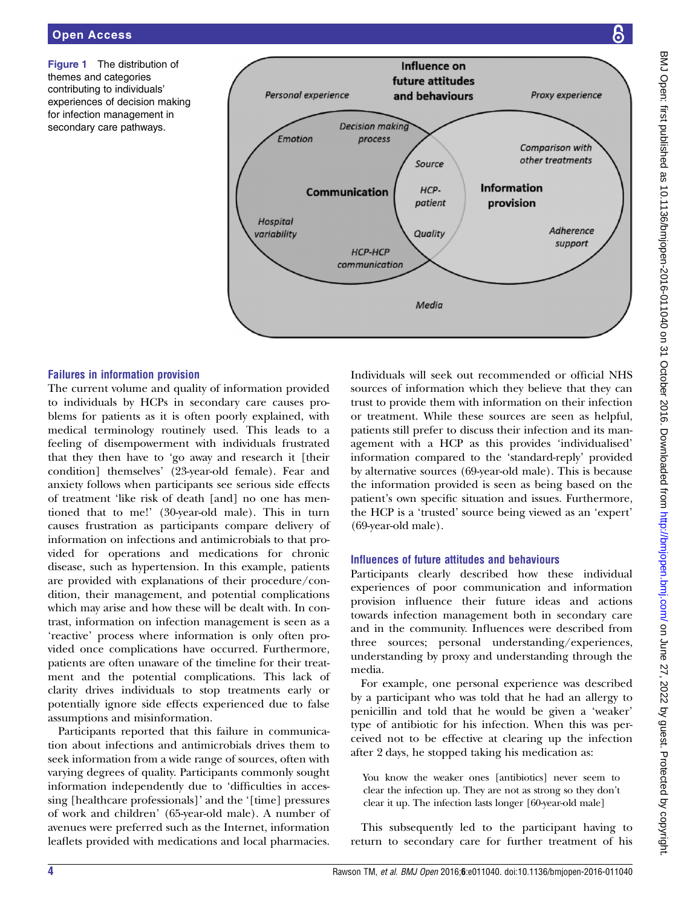<span id="page-3-0"></span>Figure 1 The distribution of themes and categories contributing to individuals' experiences of decision making for infection management in secondary care pathways.



# Failures in information provision

The current volume and quality of information provided to individuals by HCPs in secondary care causes problems for patients as it is often poorly explained, with medical terminology routinely used. This leads to a feeling of disempowerment with individuals frustrated that they then have to 'go away and research it [their condition] themselves' (23-year-old female). Fear and anxiety follows when participants see serious side effects of treatment 'like risk of death [and] no one has mentioned that to me!' (30-year-old male). This in turn causes frustration as participants compare delivery of information on infections and antimicrobials to that provided for operations and medications for chronic disease, such as hypertension. In this example, patients are provided with explanations of their procedure/condition, their management, and potential complications which may arise and how these will be dealt with. In contrast, information on infection management is seen as a 'reactive' process where information is only often provided once complications have occurred. Furthermore, patients are often unaware of the timeline for their treatment and the potential complications. This lack of clarity drives individuals to stop treatments early or potentially ignore side effects experienced due to false assumptions and misinformation.

Participants reported that this failure in communication about infections and antimicrobials drives them to seek information from a wide range of sources, often with varying degrees of quality. Participants commonly sought information independently due to 'difficulties in accessing [healthcare professionals]' and the '[time] pressures of work and children' (65-year-old male). A number of avenues were preferred such as the Internet, information leaflets provided with medications and local pharmacies.

Individuals will seek out recommended or official NHS sources of information which they believe that they can trust to provide them with information on their infection or treatment. While these sources are seen as helpful, patients still prefer to discuss their infection and its management with a HCP as this provides 'individualised' information compared to the 'standard-reply' provided by alternative sources (69-year-old male). This is because the information provided is seen as being based on the patient's own specific situation and issues. Furthermore, the HCP is a 'trusted' source being viewed as an 'expert' (69-year-old male).

#### Influences of future attitudes and behaviours

Participants clearly described how these individual experiences of poor communication and information provision influence their future ideas and actions towards infection management both in secondary care and in the community. Influences were described from three sources; personal understanding/experiences, understanding by proxy and understanding through the media.

For example, one personal experience was described by a participant who was told that he had an allergy to penicillin and told that he would be given a 'weaker' type of antibiotic for his infection. When this was perceived not to be effective at clearing up the infection after 2 days, he stopped taking his medication as:

You know the weaker ones [antibiotics] never seem to clear the infection up. They are not as strong so they don't clear it up. The infection lasts longer [60-year-old male]

This subsequently led to the participant having to return to secondary care for further treatment of his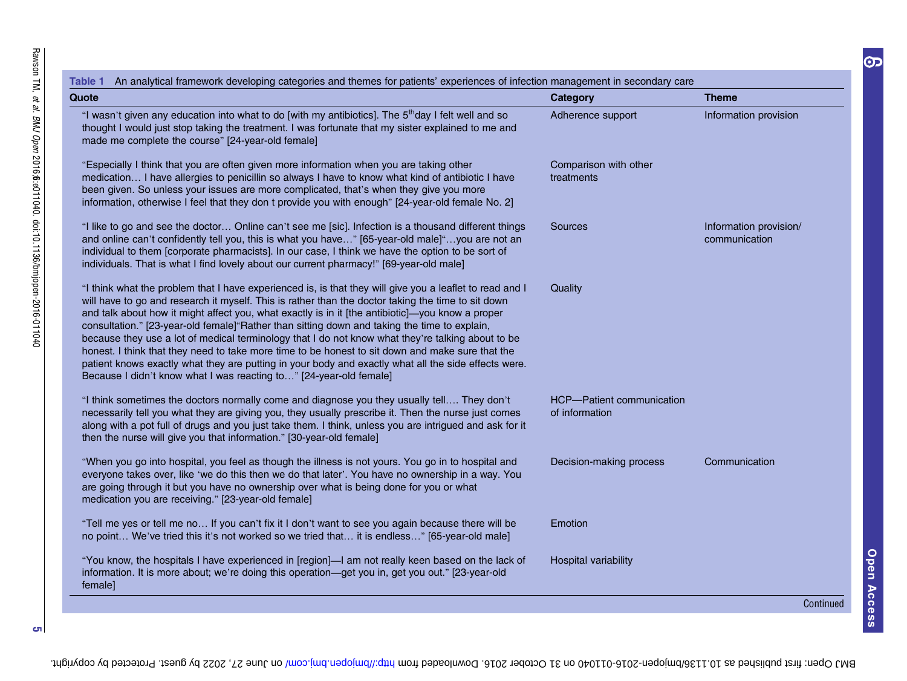<span id="page-4-0"></span>

| Quote                                                                                                                                                                                                                                                                                                                                                                                                                                                                                                                                                                                                                                                                                                                                                                                                      | Category                                    | <b>Theme</b>                            |
|------------------------------------------------------------------------------------------------------------------------------------------------------------------------------------------------------------------------------------------------------------------------------------------------------------------------------------------------------------------------------------------------------------------------------------------------------------------------------------------------------------------------------------------------------------------------------------------------------------------------------------------------------------------------------------------------------------------------------------------------------------------------------------------------------------|---------------------------------------------|-----------------------------------------|
| "I wasn't given any education into what to do [with my antibiotics]. The 5 <sup>th</sup> day I felt well and so<br>thought I would just stop taking the treatment. I was fortunate that my sister explained to me and<br>made me complete the course" [24-year-old female]                                                                                                                                                                                                                                                                                                                                                                                                                                                                                                                                 | Adherence support                           | Information provision                   |
| "Especially I think that you are often given more information when you are taking other<br>medication I have allergies to penicillin so always I have to know what kind of antibiotic I have<br>been given. So unless your issues are more complicated, that's when they give you more<br>information, otherwise I feel that they don t provide you with enough" [24-year-old female No. 2]                                                                                                                                                                                                                                                                                                                                                                                                                | Comparison with other<br>treatments         |                                         |
| "I like to go and see the doctor Online can't see me [sic]. Infection is a thousand different things<br>and online can't confidently tell you, this is what you have" [65-year-old male]"you are not an<br>individual to them [corporate pharmacists]. In our case, I think we have the option to be sort of<br>individuals. That is what I find lovely about our current pharmacy!" [69-year-old male]                                                                                                                                                                                                                                                                                                                                                                                                    | Sources                                     | Information provision/<br>communication |
| "I think what the problem that I have experienced is, is that they will give you a leaflet to read and I<br>will have to go and research it myself. This is rather than the doctor taking the time to sit down<br>and talk about how it might affect you, what exactly is in it [the antibiotic]—you know a proper<br>consultation." [23-year-old female] "Rather than sitting down and taking the time to explain,<br>because they use a lot of medical terminology that I do not know what they're talking about to be<br>honest. I think that they need to take more time to be honest to sit down and make sure that the<br>patient knows exactly what they are putting in your body and exactly what all the side effects were.<br>Because I didn't know what I was reacting to" [24-year-old female] | Quality                                     |                                         |
| "I think sometimes the doctors normally come and diagnose you they usually tell They don't<br>necessarily tell you what they are giving you, they usually prescribe it. Then the nurse just comes<br>along with a pot full of drugs and you just take them. I think, unless you are intrigued and ask for it<br>then the nurse will give you that information." [30-year-old female]                                                                                                                                                                                                                                                                                                                                                                                                                       | HCP-Patient communication<br>of information |                                         |
| "When you go into hospital, you feel as though the illness is not yours. You go in to hospital and<br>everyone takes over, like 'we do this then we do that later'. You have no ownership in a way. You<br>are going through it but you have no ownership over what is being done for you or what<br>medication you are receiving." [23-year-old female]                                                                                                                                                                                                                                                                                                                                                                                                                                                   | Decision-making process                     | Communication                           |
| "Tell me yes or tell me no If you can't fix it I don't want to see you again because there will be<br>no point We've tried this it's not worked so we tried that it is endless" [65-year-old male]                                                                                                                                                                                                                                                                                                                                                                                                                                                                                                                                                                                                         | Emotion                                     |                                         |
| "You know, the hospitals I have experienced in [region]—I am not really keen based on the lack of<br>information. It is more about; we're doing this operation—get you in, get you out." [23-year-old<br>female]                                                                                                                                                                                                                                                                                                                                                                                                                                                                                                                                                                                           | Hospital variability                        |                                         |
|                                                                                                                                                                                                                                                                                                                                                                                                                                                                                                                                                                                                                                                                                                                                                                                                            |                                             | Continued                               |

 $\overline{\mathbf{C}}$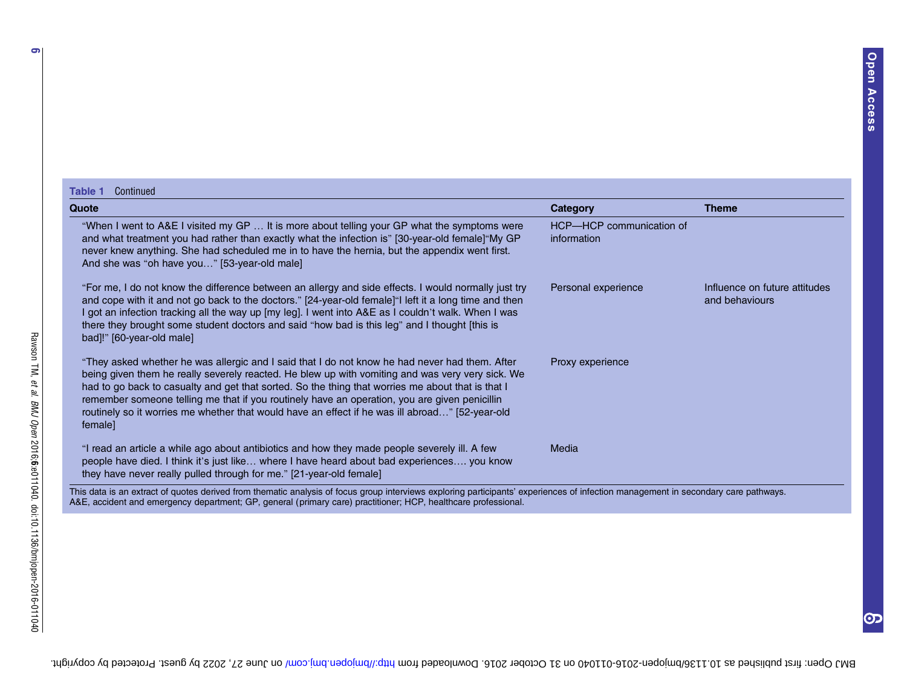| Quote                                                                                                                                                                                                                                                                                                                                                                                                                                                                                                                  | Category                                | <b>Theme</b>                                    |
|------------------------------------------------------------------------------------------------------------------------------------------------------------------------------------------------------------------------------------------------------------------------------------------------------------------------------------------------------------------------------------------------------------------------------------------------------------------------------------------------------------------------|-----------------------------------------|-------------------------------------------------|
| "When I went to A&E I visited my GP  It is more about telling your GP what the symptoms were<br>and what treatment you had rather than exactly what the infection is" [30-year-old female] "My GP<br>never knew anything. She had scheduled me in to have the hernia, but the appendix went first.<br>And she was "oh have you" [53-year-old male]                                                                                                                                                                     | HCP-HCP communication of<br>information |                                                 |
| "For me, I do not know the difference between an allergy and side effects. I would normally just try<br>and cope with it and not go back to the doctors." [24-year-old female] "I left it a long time and then<br>I got an infection tracking all the way up [my leg]. I went into A&E as I couldn't walk. When I was<br>there they brought some student doctors and said "how bad is this leg" and I thought [this is<br>bad]!" [60-year-old male]                                                                    | Personal experience                     | Influence on future attitudes<br>and behaviours |
| "They asked whether he was allergic and I said that I do not know he had never had them. After<br>being given them he really severely reacted. He blew up with vomiting and was very very sick. We<br>had to go back to casualty and get that sorted. So the thing that worries me about that is that I<br>remember someone telling me that if you routinely have an operation, you are given penicillin<br>routinely so it worries me whether that would have an effect if he was ill abroad" [52-year-old<br>female] | Proxy experience                        |                                                 |
| "I read an article a while ago about antibiotics and how they made people severely ill. A few<br>people have died. I think it's just like where I have heard about bad experiences you know<br>they have never really pulled through for me." [21-year-old female]                                                                                                                                                                                                                                                     | Media                                   |                                                 |

OP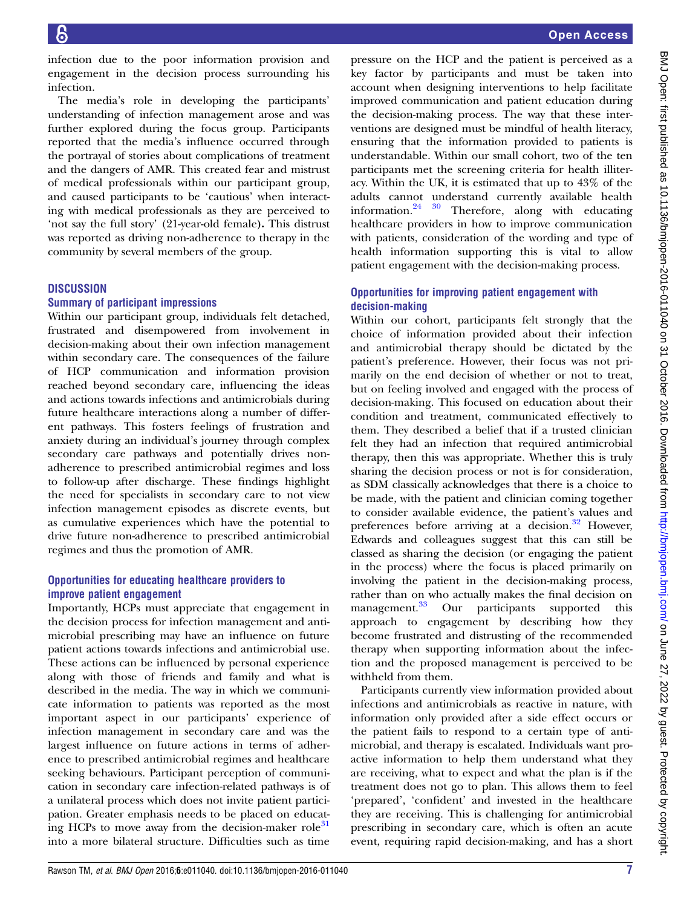infection due to the poor information provision and engagement in the decision process surrounding his infection.

The media's role in developing the participants' understanding of infection management arose and was further explored during the focus group. Participants reported that the media's influence occurred through the portrayal of stories about complications of treatment and the dangers of AMR. This created fear and mistrust of medical professionals within our participant group, and caused participants to be 'cautious' when interacting with medical professionals as they are perceived to 'not say the full story' (21-year-old female). This distrust was reported as driving non-adherence to therapy in the community by several members of the group.

# **DISCUSSION**

# Summary of participant impressions

Within our participant group, individuals felt detached, frustrated and disempowered from involvement in decision-making about their own infection management within secondary care. The consequences of the failure of HCP communication and information provision reached beyond secondary care, influencing the ideas and actions towards infections and antimicrobials during future healthcare interactions along a number of different pathways. This fosters feelings of frustration and anxiety during an individual's journey through complex secondary care pathways and potentially drives nonadherence to prescribed antimicrobial regimes and loss to follow-up after discharge. These findings highlight the need for specialists in secondary care to not view infection management episodes as discrete events, but as cumulative experiences which have the potential to drive future non-adherence to prescribed antimicrobial regimes and thus the promotion of AMR.

# Opportunities for educating healthcare providers to improve patient engagement

Importantly, HCPs must appreciate that engagement in the decision process for infection management and antimicrobial prescribing may have an influence on future patient actions towards infections and antimicrobial use. These actions can be influenced by personal experience along with those of friends and family and what is described in the media. The way in which we communicate information to patients was reported as the most important aspect in our participants' experience of infection management in secondary care and was the largest influence on future actions in terms of adherence to prescribed antimicrobial regimes and healthcare seeking behaviours. Participant perception of communication in secondary care infection-related pathways is of a unilateral process which does not invite patient participation. Greater emphasis needs to be placed on educat-ing HCPs to move away from the decision-maker role<sup>[31](#page-8-0)</sup> into a more bilateral structure. Difficulties such as time

pressure on the HCP and the patient is perceived as a key factor by participants and must be taken into account when designing interventions to help facilitate improved communication and patient education during the decision-making process. The way that these interventions are designed must be mindful of health literacy, ensuring that the information provided to patients is understandable. Within our small cohort, two of the ten participants met the screening criteria for health illiteracy. Within the UK, it is estimated that up to 43% of the adults cannot understand currently available health information. $24 \times 30$  Therefore, along with educating healthcare providers in how to improve communication with patients, consideration of the wording and type of health information supporting this is vital to allow patient engagement with the decision-making process.

# Opportunities for improving patient engagement with decision-making

Within our cohort, participants felt strongly that the choice of information provided about their infection and antimicrobial therapy should be dictated by the patient's preference. However, their focus was not primarily on the end decision of whether or not to treat, but on feeling involved and engaged with the process of decision-making. This focused on education about their condition and treatment, communicated effectively to them. They described a belief that if a trusted clinician felt they had an infection that required antimicrobial therapy, then this was appropriate. Whether this is truly sharing the decision process or not is for consideration, as SDM classically acknowledges that there is a choice to be made, with the patient and clinician coming together to consider available evidence, the patient's values and preferences before arriving at a decision. $32$  However, Edwards and colleagues suggest that this can still be classed as sharing the decision (or engaging the patient in the process) where the focus is placed primarily on involving the patient in the decision-making process, rather than on who actually makes the final decision on management.<sup>[33](#page-8-0)</sup> Our participants supported this approach to engagement by describing how they become frustrated and distrusting of the recommended therapy when supporting information about the infection and the proposed management is perceived to be withheld from them.

Participants currently view information provided about infections and antimicrobials as reactive in nature, with information only provided after a side effect occurs or the patient fails to respond to a certain type of antimicrobial, and therapy is escalated. Individuals want proactive information to help them understand what they are receiving, what to expect and what the plan is if the treatment does not go to plan. This allows them to feel 'prepared', 'confident' and invested in the healthcare they are receiving. This is challenging for antimicrobial prescribing in secondary care, which is often an acute event, requiring rapid decision-making, and has a short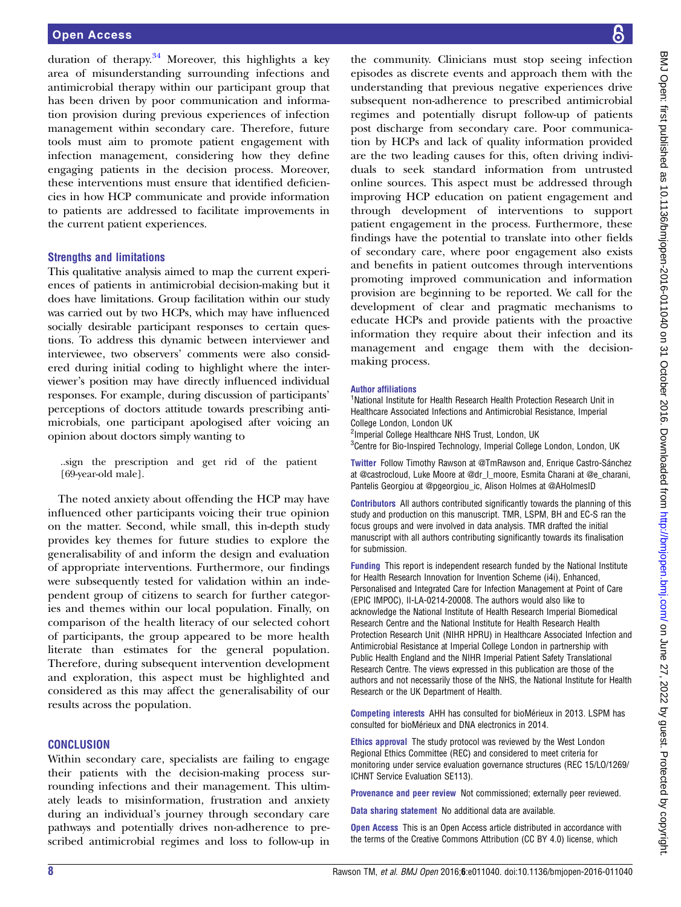duration of therapy.<sup>[34](#page-8-0)</sup> Moreover, this highlights a key area of misunderstanding surrounding infections and antimicrobial therapy within our participant group that has been driven by poor communication and information provision during previous experiences of infection management within secondary care. Therefore, future tools must aim to promote patient engagement with infection management, considering how they define engaging patients in the decision process. Moreover, these interventions must ensure that identified deficiencies in how HCP communicate and provide information to patients are addressed to facilitate improvements in the current patient experiences.

#### Strengths and limitations

This qualitative analysis aimed to map the current experiences of patients in antimicrobial decision-making but it does have limitations. Group facilitation within our study was carried out by two HCPs, which may have influenced socially desirable participant responses to certain questions. To address this dynamic between interviewer and interviewee, two observers' comments were also considered during initial coding to highlight where the interviewer's position may have directly influenced individual responses. For example, during discussion of participants' perceptions of doctors attitude towards prescribing antimicrobials, one participant apologised after voicing an opinion about doctors simply wanting to

..sign the prescription and get rid of the patient [69-year-old male].

The noted anxiety about offending the HCP may have influenced other participants voicing their true opinion on the matter. Second, while small, this in-depth study provides key themes for future studies to explore the generalisability of and inform the design and evaluation of appropriate interventions. Furthermore, our findings were subsequently tested for validation within an independent group of citizens to search for further categories and themes within our local population. Finally, on comparison of the health literacy of our selected cohort of participants, the group appeared to be more health literate than estimates for the general population. Therefore, during subsequent intervention development and exploration, this aspect must be highlighted and considered as this may affect the generalisability of our results across the population.

### **CONCLUSION**

Within secondary care, specialists are failing to engage their patients with the decision-making process surrounding infections and their management. This ultimately leads to misinformation, frustration and anxiety during an individual's journey through secondary care pathways and potentially drives non-adherence to prescribed antimicrobial regimes and loss to follow-up in

the community. Clinicians must stop seeing infection episodes as discrete events and approach them with the understanding that previous negative experiences drive subsequent non-adherence to prescribed antimicrobial regimes and potentially disrupt follow-up of patients post discharge from secondary care. Poor communication by HCPs and lack of quality information provided are the two leading causes for this, often driving individuals to seek standard information from untrusted online sources. This aspect must be addressed through improving HCP education on patient engagement and through development of interventions to support patient engagement in the process. Furthermore, these findings have the potential to translate into other fields of secondary care, where poor engagement also exists and benefits in patient outcomes through interventions promoting improved communication and information provision are beginning to be reported. We call for the development of clear and pragmatic mechanisms to educate HCPs and provide patients with the proactive information they require about their infection and its management and engage them with the decisionmaking process.

#### Author affiliations

<sup>1</sup>National Institute for Health Research Health Protection Research Unit in Healthcare Associated Infections and Antimicrobial Resistance, Imperial College London, London UK

<sup>2</sup>Imperial College Healthcare NHS Trust, London, UK <sup>3</sup>Centre for Bio-Inspired Technology, Imperial College London, London, UK

Twitter Follow Timothy Rawson at [@TmRawson](http://twitter.com/TmRawson) and, Enrique Castro-Sánchez at [@castrocloud](http://twitter.com/castrocloud), Luke Moore at @dr | moore, Esmita Charani at [@e\\_charani,](http://twitter.com/e_charani) Pantelis Georgiou at [@pgeorgiou\\_ic,](http://twitter.com/pgeorgiou_ic) Alison Holmes at [@AHolmesID](http://twitter.com/AHolmesID)

Contributors All authors contributed significantly towards the planning of this study and production on this manuscript. TMR, LSPM, BH and EC-S ran the focus groups and were involved in data analysis. TMR drafted the initial manuscript with all authors contributing significantly towards its finalisation for submission.

Funding This report is independent research funded by the National Institute for Health Research Innovation for Invention Scheme (i4i), Enhanced, Personalised and Integrated Care for Infection Management at Point of Care (EPIC IMPOC), II-LA-0214-20008. The authors would also like to acknowledge the National Institute of Health Research Imperial Biomedical Research Centre and the National Institute for Health Research Health Protection Research Unit (NIHR HPRU) in Healthcare Associated Infection and Antimicrobial Resistance at Imperial College London in partnership with Public Health England and the NIHR Imperial Patient Safety Translational Research Centre. The views expressed in this publication are those of the authors and not necessarily those of the NHS, the National Institute for Health Research or the UK Department of Health.

Competing interests AHH has consulted for bioMérieux in 2013. LSPM has consulted for bioMérieux and DNA electronics in 2014.

Ethics approval The study protocol was reviewed by the West London Regional Ethics Committee (REC) and considered to meet criteria for monitoring under service evaluation governance structures (REC 15/LO/1269/ ICHNT Service Evaluation SE113).

Provenance and peer review Not commissioned; externally peer reviewed.

Data sharing statement No additional data are available.

Open Access This is an Open Access article distributed in accordance with the terms of the Creative Commons Attribution (CC BY 4.0) license, which